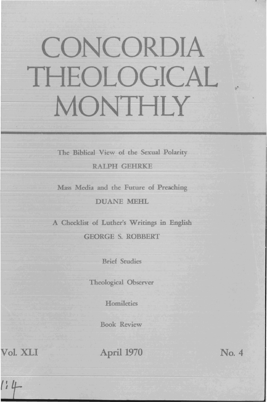## CONCORDIA THEOLOGICAL MONTHLY

The Biblical View of the Sexual Polarity

RALPH GEHRKE

Mass Media and the Future of Preaching DUANE MEHL

A Checklist of Luther's Writings in English GEORGE S. ROBBERT

Brief Studies

Theological Observer

**Homiletics** 

Book Review

~ol. XLI

April 1970 No. 4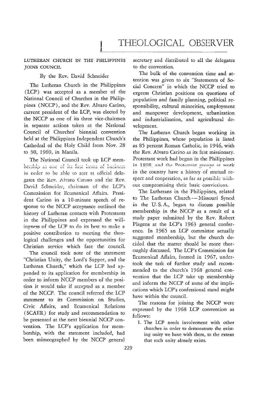## THEOLOGICAL OBSERVER

## LUTHERAN CHURCH IN THE PHILIPPINES JOINS COUNCIL

## By the Rev. David Schneider

The Lutheran Church in the Philippines (LCP) was accepted as a member of the National Council of Churches in the Philippines (NCCP), and the Rev. Alvaro Carino, current president of the LCP, was elected by the NCCP as one of *its* three vice-chairmen in separate actions taken at the National Council of Churches' biennial convention held at the Philippines Independent Church's Cathedral of the Holy Child from Nov. 28 to 30, 1969, in Manila.

The National Council took up LCP membership as one of its first items of business in order to be able to seat as official delegates the Rev. Alvaro Carino and the Rev. David Schneider, chaitman of the LCP's Commission for Ecumenical Affairs. President Carino in a 10-minute speech of response to the NCCP acceptance outlined the history of Lutheran contacts with Protestants in the Philippines and expressed the willingness of the LCP to do its best to make a positive conttibution to meeting the theological challenges and the opportunities for Christian service which face the counciL

The council took note of the statement "Christian Unity, the Lord's Supper, and the Lutheran Church," which the LCP had appended to its application for membership in order to inform NCCP members of the position it would take if accepted as a member of the NCCP. The council referred the LCP statement to *its* Commission on Studies, Civic Affairs, and Ecumenical Relations (SCAER) for study and recommendation to be presented at the next biennial NCCP convention. The LCP's application for membership, with the statement included, had been mimeographed by the NCCP general secretary and distributed to all the delegates to the convention.

The bulk of the convention time and attention was given to six "Statements of Social Concern" in which the NCCP tried to express Christian positions on questions of population and family planning, political responsibility, cultural minorities, employment and manpower development, urbanization and industrialization, and agricultural development.

The Lutheran Church began working in the Philippines, whose population is listed as 85 percent Roman Catholic, in 1946, with the Rev. Alvaro Carino as its first missionary. Protestant work had begun in the Philippines in 1898, and the Protestant groups at work in the country have a history of mutual respect and cooperation, as far as possible without compromising their basic convictions.

The Lutherans in the Philippines, related to The Lutheran Church - Missouri Synod in the U. S. A., began to discuss possible membership in the NCCP as a result of a study paper submitted by the Rev. Robert Plagens at the LCP's 1963 general conference. In 1965 an LCP committee actually suggested membership, but the church decided that the matter should be more thoroughly discussed. The LCP's Commission for Ecumenical Affairs, formed in 1967, undertook the task of further study and recommended to the church's 1968 general convention that the LCP take up membership and inform the NCCP of some of the implications which LCP's confessional stand might have within the council.

The reasons for joining the NCCP were expressed by the 1968 LCP convention as follows:

1. The LCP needs involvement with other churches in order to demonstrate the existing unity we have with them, to the extent that such unity already exists.